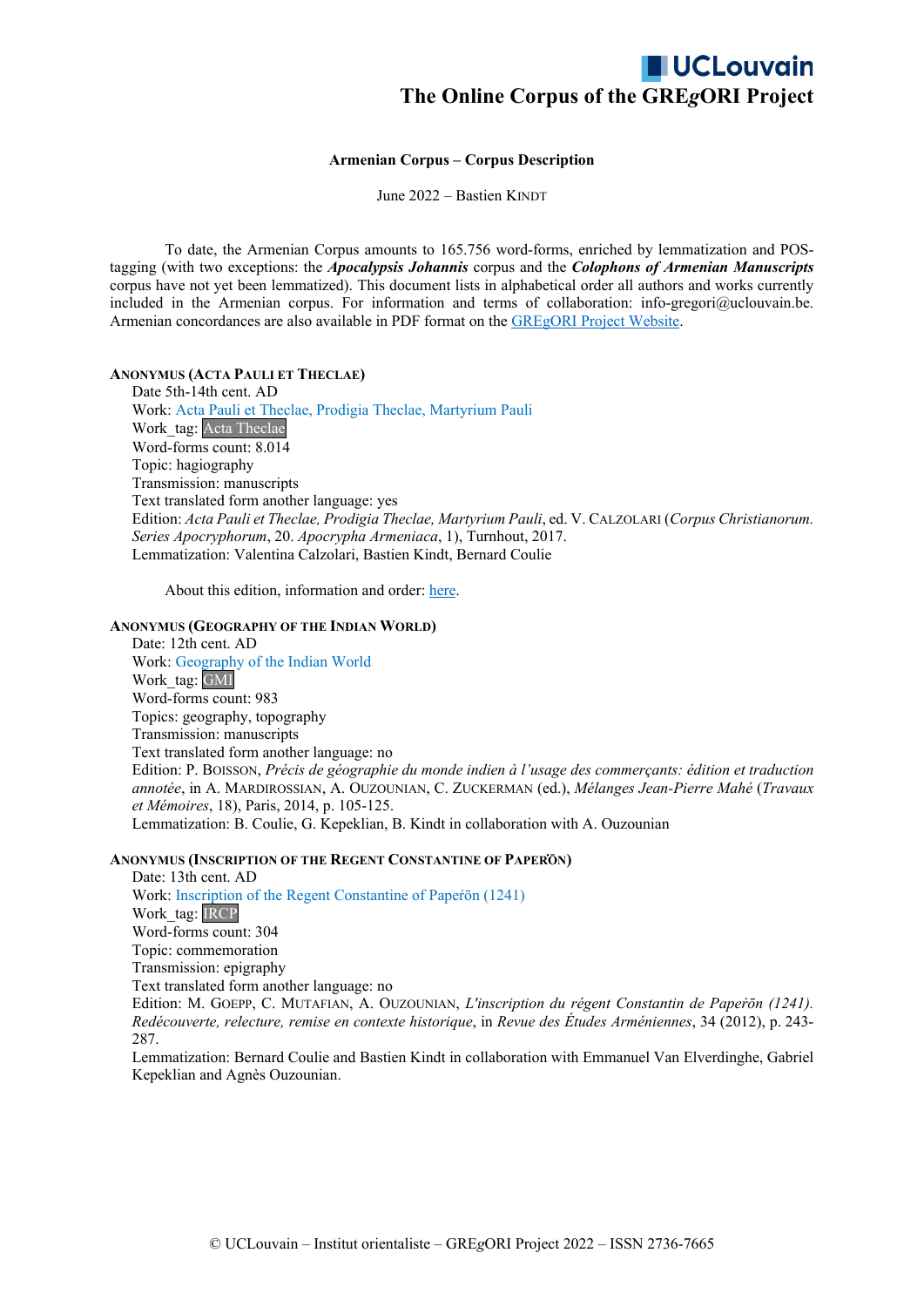#### **Armenian Corpus – Corpus Description**

June 2022 – Bastien KINDT

To date, the Armenian Corpus amounts to 165.756 word-forms, enriched by lemmatization and POStagging (with two exceptions: the *Apocalypsis Johannis* corpus and the *Colophons of Armenian Manuscripts* corpus have not yet been lemmatized). This document lists in alphabetical order all authors and works currently included in the Armenian corpus. For information and terms of collaboration: info-gregori@uclouvain.be. Armenian concordances are also available in PDF format on th[e GREgORI Project Website.](https://uclouvain.be/fr/instituts-recherche/incal/ciol/gregori-project.html)

**ANONYMUS (ACTA PAULI ET THECLAE)** 

Date 5th-14th cent. AD Work: Acta Pauli et Theclae, Prodigia Theclae, Martyrium Pauli Work tag: Acta Theclae Word-forms count: 8.014 Topic: hagiography Transmission: manuscripts Text translated form another language: yes Edition: *Acta Pauli et Theclae, Prodigia Theclae, Martyrium Pauli*, ed. V. CALZOLARI (*Corpus Christianorum. Series Apocryphorum*, 20. *Apocrypha Armeniaca*, 1), Turnhout, 2017. Lemmatization: Valentina Calzolari, Bastien Kindt, Bernard Coulie

About this edition, information and order[: here.](http://www.brepols.net/Pages/ShowProduct.aspx?prod_id=IS-9782503569864-1)

#### **ANONYMUS (GEOGRAPHY OF THE INDIAN WORLD)**

Date: 12th cent. AD Work: Geography of the Indian World Work\_tag: GMI Word-forms count: 983 Topics: geography, topography Transmission: manuscripts Text translated form another language: no Edition: P. BOISSON, *Précis de géographie du monde indien à l'usage des commerçants: édition et traduction annotée*, in A. MARDIROSSIAN, A. OUZOUNIAN, C. ZUCKERMAN (ed.), *Mélanges Jean-Pierre Mahé* (*Travaux et Mémoires*, 18), Paris, 2014, p. 105-125. Lemmatization: B. Coulie, G. Kepeklian, B. Kindt in collaboration with A. Ouzounian

#### **ANONYMUS (INSCRIPTION OF THE REGENT CONSTANTINE OF PAPEṘŌN)**

Date: 13th cent. AD Work: Inscription of the Regent Constantine of Paperon (1241) Work\_tag: **IRCP** Word-forms count: 304 Topic: commemoration Transmission: epigraphy Text translated form another language: no Edition: M. GOEPP, C. MUTAFIAN, A. OUZOUNIAN, *L'inscription du régent Constantin de Papeṙōn (1241). Redécouverte, relecture, remise en contexte historique*, in *Revue des Études Arméniennes*, 34 (2012), p. 243- 287.

Lemmatization: Bernard Coulie and Bastien Kindt in collaboration with Emmanuel Van Elverdinghe, Gabriel Kepeklian and Agnès Ouzounian.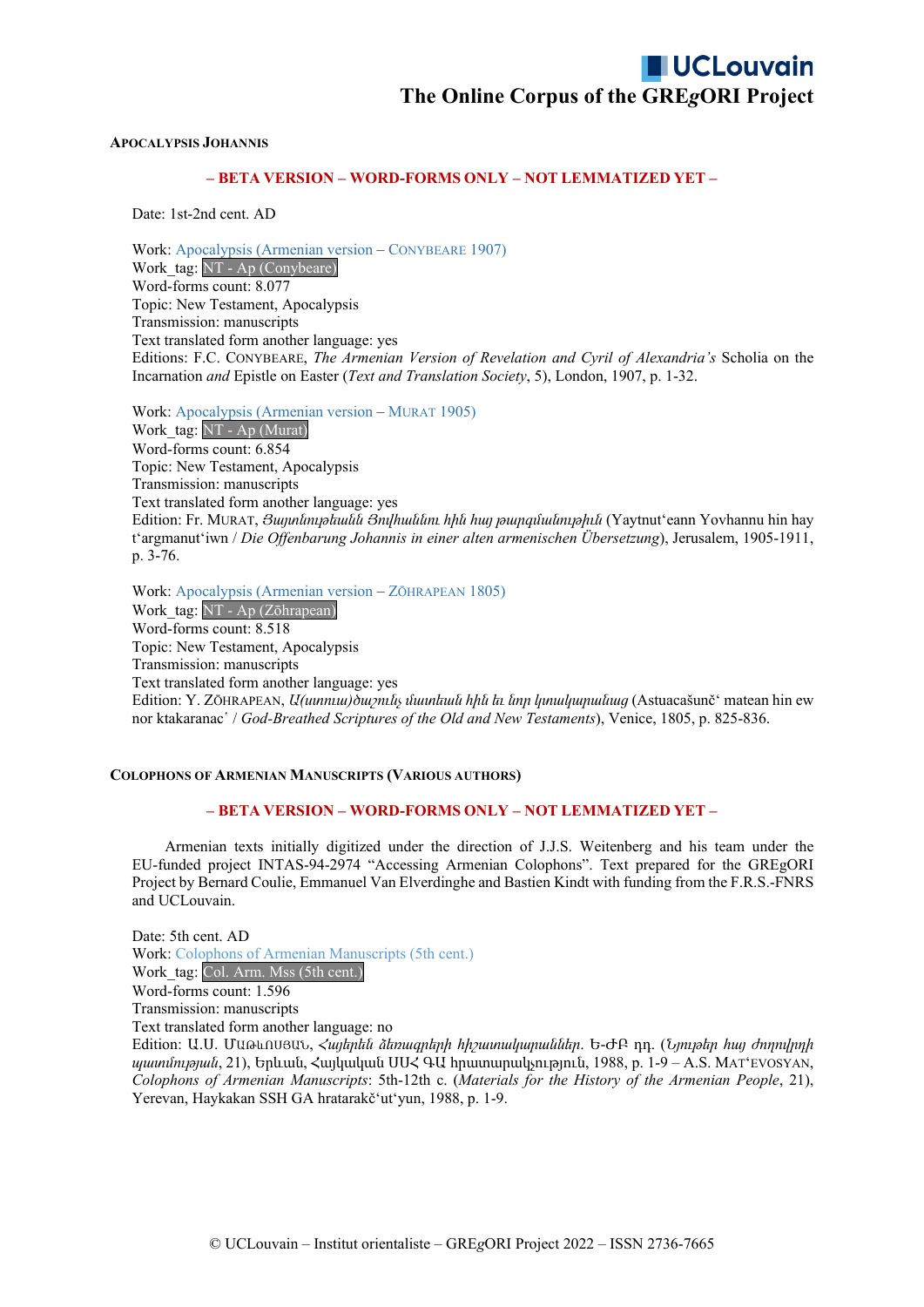#### **APOCALYPSIS JOHANNIS**

### **– BETA VERSION – WORD-FORMS ONLY – NOT LEMMATIZED YET –**

Date: 1st-2nd cent. AD

Work: Apocalypsis (Armenian version – CONYBEARE 1907) Work tag: NT - Ap (Conybeare) Word-forms count: 8.077 Topic: New Testament, Apocalypsis Transmission: manuscripts Text translated form another language: yes Editions: F.C. CONYBEARE, *The Armenian Version of Revelation and Cyril of Alexandria's* Scholia on the Incarnation *and* Epistle on Easter (*Text and Translation Society*, 5), London, 1907, p. 1-32.

Work: Apocalypsis (Armenian version – MURAT 1905) Work tag: NT - Ap (Murat) Word-forms count: 6.854 Topic: New Testament, Apocalypsis Transmission: manuscripts Text translated form another language: yes Edition: Fr. MURAT, *Յայտնութեանն Յովհաննու հին հայ թարգմանութիւն* (Yaytnutʻeann Yovhannu hin hay tʻargmanutʻiwn / *Die Offenbarung Johannis in einer alten armenischen Übersetzung*), Jerusalem, 1905-1911, p. 3-76.

Work: Apocalypsis (Armenian version – ZŌHRAPEAN 1805) Work\_tag: NT - Ap (Zōhrapean) Word-forms count: 8.518 Topic: New Testament, Apocalypsis Transmission: manuscripts Text translated form another language: yes Edition: Y. ZŌHRAPEAN, *Ա(ստուա)ծաշունչ մատեան հին եւ նոր կտակարանաց* (Astuacašunčʻ matean hin ew nor ktakaranac῾ / *God-Breathed Scriptures of the Old and New Testaments*), Venice, 1805, p. 825-836.

#### **COLOPHONS OF ARMENIAN MANUSCRIPTS (VARIOUS AUTHORS)**

#### **– BETA VERSION – WORD-FORMS ONLY – NOT LEMMATIZED YET –**

Armenian texts initially digitized under the direction of J.J.S. Weitenberg and his team under the EU-funded project INTAS-94-2974 "Accessing Armenian Colophons". Text prepared for the GREgORI Project by Bernard Coulie, Emmanuel Van Elverdinghe and Bastien Kindt with funding from the F.R.S.-FNRS and UCLouvain.

Date: 5th cent. AD Work: Colophons of Armenian Manuscripts (5th cent.) Work tag: Col. Arm. Mss (5th cent.) Word-forms count: 1.596 Transmission: manuscripts Text translated form another language: no Edition: Ա.Ս. ՄԱԹևՈՍՅԱՆ, *Հայերեն ձեռագրերի հիշատակարաններ*. Ե-ԺԲ դդ. (*Նյութեր հայ ժողովրդի պատմության*, 21), Երևան, Հայկական ՍՍՀ ԳԱ հրատարակչություն, 1988, p. 1-9 – A.S. MATʻEVOSYAN, *Colophons of Armenian Manuscripts*: 5th-12th c. (*Materials for the History of the Armenian People*, 21), Yerevan, Haykakan SSH GA hratarakčʻutʻyun, 1988, p. 1-9.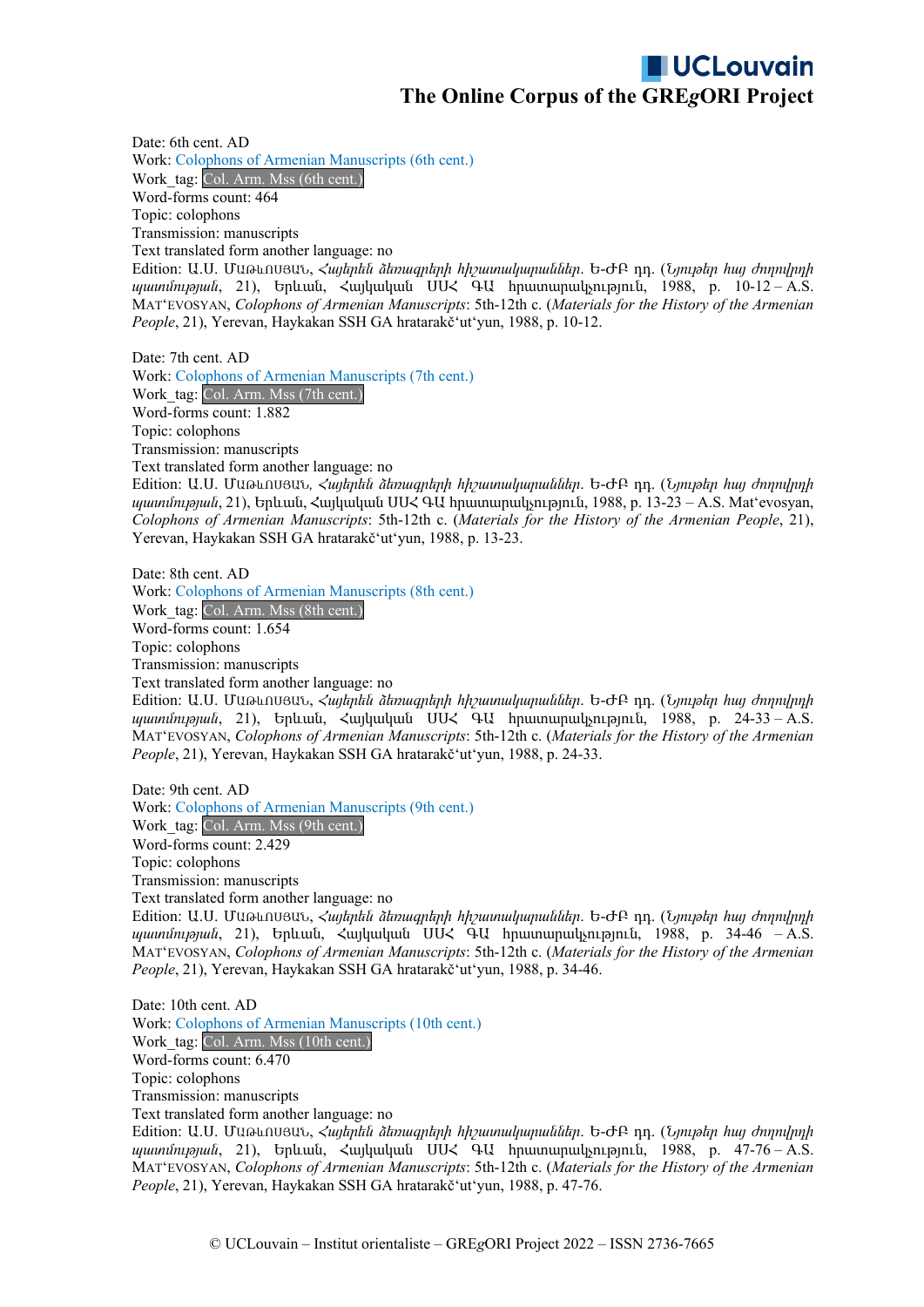Date: 6th cent. AD Work: Colophons of Armenian Manuscripts (6th cent.) Work tag: Col. Arm. Mss (6th cent.) Word-forms count: 464 Topic: colophons Transmission: manuscripts Text translated form another language: no Edition: Ա.Ս. ՄԱԹևՈՍՅԱՆ, *Հայերեն ձեռագրերի հիշատակարաններ*. Ե-ԺԲ դդ. (*Նյութեր հայ ժողովրդի պատմության*, 21), Երևան, Հայկական ՍՍՀ ԳԱ հրատարակչություն, 1988, p. 10-12 – A.S. MATʻEVOSYAN, *Colophons of Armenian Manuscripts*: 5th-12th c. (*Materials for the History of the Armenian People*, 21), Yerevan, Haykakan SSH GA hratarakčʻutʻyun, 1988, p. 10-12.

Date: 7th cent. AD Work: Colophons of Armenian Manuscripts (7th cent.) Work\_tag: Col. Arm. Mss (7th cent.) Word-forms count: 1.882 Topic: colophons Transmission: manuscripts Text translated form another language: no Edition: Ա.Ս. ՄԱԹևՈՍՅԱՆ*, Հայերեն ձեռագրերի հիշատակարաններ*. Ե-ԺԲ դդ. (*Նյութեր հայ ժողովրդի պատմության*, 21), Երևան, Հայկական ՍՍՀ ԳԱ հրատարակչություն, 1988, p. 13-23 – A.S. Matʻevosyan, *Colophons of Armenian Manuscripts*: 5th-12th c. (*Materials for the History of the Armenian People*, 21), Yerevan, Haykakan SSH GA hratarakčʻutʻyun, 1988, p. 13-23.

Date: 8th cent. AD Work: Colophons of Armenian Manuscripts (8th cent.) Work tag: Col. Arm. Mss (8th cent.) Word-forms count: 1.654 Topic: colophons Transmission: manuscripts Text translated form another language: no

Edition: Ա.Ս. ՄԱԹևՈՍՅԱՆ, *Հայերեն ձեռագրերի հիշատակարաններ*. Ե-ԺԲ դդ. (*Նյութեր հայ ժողովրդի պատմության*, 21), Երևան, Հայկական ՍՍՀ ԳԱ հրատարակչություն, 1988, p. 24-33 – A.S. MATʻEVOSYAN, *Colophons of Armenian Manuscripts*: 5th-12th c. (*Materials for the History of the Armenian People*, 21), Yerevan, Haykakan SSH GA hratarakčʻutʻyun, 1988, p. 24-33.

Date: 9th cent. AD Work: Colophons of Armenian Manuscripts (9th cent.) Work tag: Col. Arm. Mss (9th cent.) Word-forms count: 2.429 Topic: colophons Transmission: manuscripts Text translated form another language: no Edition: Ա.Ս. ՄԱԹևՈՍՅԱՆ, *Հայերեն ձեռագրերի հիշատակարաններ*. Ե-ԺԲ դդ. (*Նյութեր հայ ժողովրդի պատմության*, 21), Երևան, Հայկական ՍՍՀ ԳԱ հրատարակչություն, 1988, p. 34-46 – A.S. MATʻEVOSYAN, *Colophons of Armenian Manuscripts*: 5th-12th c. (*Materials for the History of the Armenian People*, 21), Yerevan, Haykakan SSH GA hratarakčʻutʻyun, 1988, p. 34-46.

Date: 10th cent. AD Work: Colophons of Armenian Manuscripts (10th cent.) Work\_tag: Col. Arm. Mss (10th cent.) Word-forms count: 6.470 Topic: colophons Transmission: manuscripts Text translated form another language: no Edition: Ա.Ս. ՄԱԹևՈՍՅԱՆ, *Հայերեն ձեռագրերի հիշատակարաններ*. Ե-ԺԲ դդ. (*Նյութեր հայ ժողովրդի*

*պատմության*, 21), Երևան, Հայկական ՍՍՀ ԳԱ հրատարակչություն, 1988, p. 47-76 – A.S. MATʻEVOSYAN, *Colophons of Armenian Manuscripts*: 5th-12th c. (*Materials for the History of the Armenian People*, 21), Yerevan, Haykakan SSH GA hratarakčʻutʻyun, 1988, p. 47-76.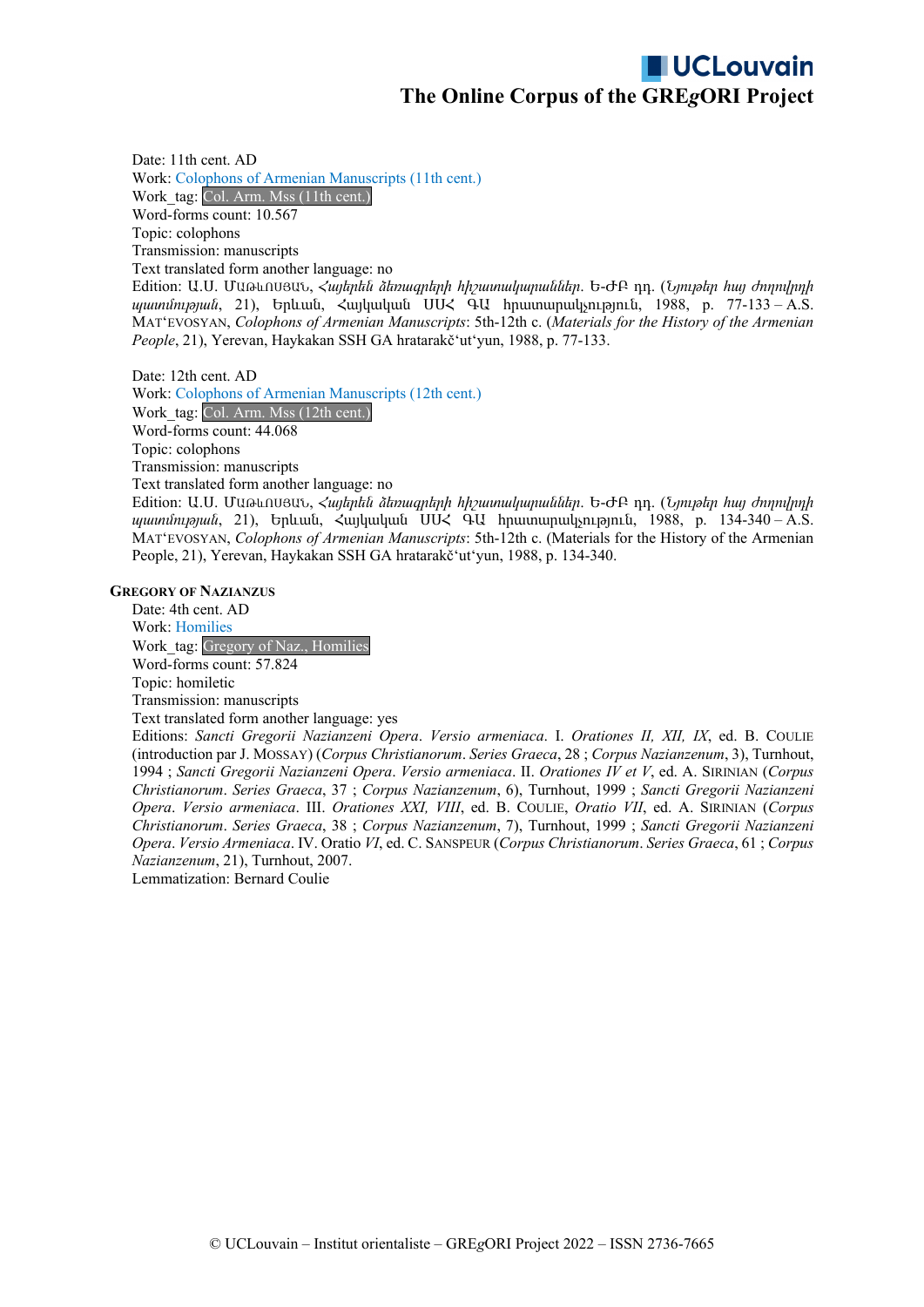Date: 11th cent. AD Work: Colophons of Armenian Manuscripts (11th cent.) Work tag: Col. Arm. Mss (11th cent.) Word-forms count: 10.567 Topic: colophons Transmission: manuscripts Text translated form another language: no Edition: Ա.Ս. ՄԱԹևՈՍՅԱՆ, *Հայերեն ձեռագրերի հիշատակարաններ*. Ե-ԺԲ դդ. (*Նյութեր հայ ժողովրդի*

*պատմության*, 21), Երևան, Հայկական ՍՍՀ ԳԱ հրատարակչություն, 1988, p. 77-133 – A.S. MATʻEVOSYAN, *Colophons of Armenian Manuscripts*: 5th-12th c. (*Materials for the History of the Armenian People*, 21), Yerevan, Haykakan SSH GA hratarakčʻutʻyun, 1988, p. 77-133.

Date: 12th cent. AD Work: Colophons of Armenian Manuscripts (12th cent.) Work\_tag: Col. Arm. Mss (12th cent.) Word-forms count: 44.068 Topic: colophons Transmission: manuscripts Text translated form another language: no

Edition: Ա.Ս. ՄԱԹևՈՍՅԱՆ, *Հայերեն ձեռագրերի հիշատակարաններ*. Ե-ԺԲ դդ. (*Նյութեր հայ ժողովրդի պատմության*, 21), Երևան, Հայկական ՍՍՀ ԳԱ հրատարակչություն, 1988, p. 134-340 – A.S. MATʻEVOSYAN, *Colophons of Armenian Manuscripts*: 5th-12th c. (Materials for the History of the Armenian People, 21), Yerevan, Haykakan SSH GA hratarakčʻutʻyun, 1988, p. 134-340.

#### **GREGORY OF NAZIANZUS**

Date: 4th cent. AD Work: Homilies Work tag: Gregory of Naz., Homilies Word-forms count: 57.824 Topic: homiletic Transmission: manuscripts Text translated form another language: yes Editions: *Sancti Gregorii Nazianzeni Opera*. *Versio armeniaca*. I. *Orationes II, XII, IX*, ed. B. COULIE

(introduction par J. MOSSAY) (*Corpus Christianorum*. *Series Graeca*, 28 ; *Corpus Nazianzenum*, 3), Turnhout, 1994 ; *Sancti Gregorii Nazianzeni Opera*. *Versio armeniaca*. II. *Orationes IV et V*, ed. A. SIRINIAN (*Corpus Christianorum*. *Series Graeca*, 37 ; *Corpus Nazianzenum*, 6), Turnhout, 1999 ; *Sancti Gregorii Nazianzeni Opera*. *Versio armeniaca*. III. *Orationes XXI, VIII*, ed. B. COULIE, *Oratio VII*, ed. A. SIRINIAN (*Corpus Christianorum*. *Series Graeca*, 38 ; *Corpus Nazianzenum*, 7), Turnhout, 1999 ; *Sancti Gregorii Nazianzeni Opera*. *Versio Armeniaca*. IV. Oratio *VI*, ed. C. SANSPEUR (*Corpus Christianorum*. *Series Graeca*, 61 ; *Corpus Nazianzenum*, 21), Turnhout, 2007.

Lemmatization: Bernard Coulie